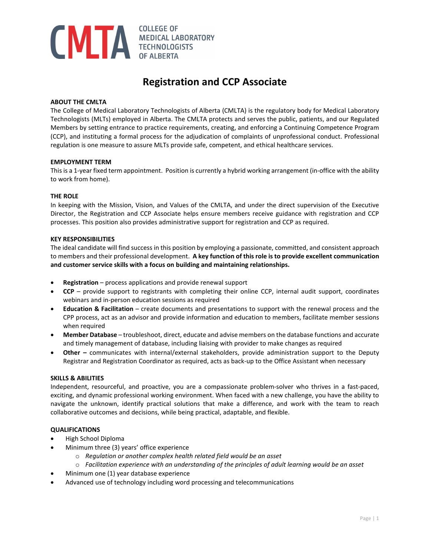# **COLLEGE OF MEDICAL LABORATORY COLLEGE OF**

# **Registration and CCP Associate**

## **ABOUT THE CMLTA**

The College of Medical Laboratory Technologists of Alberta (CMLTA) is the regulatory body for Medical Laboratory Technologists (MLTs) employed in Alberta. The CMLTA protects and serves the public, patients, and our Regulated Members by setting entrance to practice requirements, creating, and enforcing a Continuing Competence Program (CCP), and instituting a formal process for the adjudication of complaints of unprofessional conduct. Professional regulation is one measure to assure MLTs provide safe, competent, and ethical healthcare services.

#### **EMPLOYMENT TERM**

This is a 1-year fixed term appointment. Position is currently a hybrid working arrangement (in-office with the ability to work from home).

#### **THE ROLE**

In keeping with the Mission, Vision, and Values of the CMLTA, and under the direct supervision of the Executive Director, the Registration and CCP Associate helps ensure members receive guidance with registration and CCP processes. This position also provides administrative support for registration and CCP as required.

#### **KEY RESPONSIBILITIES**

The ideal candidate will find success in this position by employing a passionate, committed, and consistent approach to members and their professional development. **A key function of this role is to provide excellent communication and customer service skills with a focus on building and maintaining relationships.**

- **Registration** process applications and provide renewal support
- **CCP**  provide support to registrants with completing their online CCP, internal audit support, coordinates webinars and in-person education sessions as required
- **Education & Facilitation**  create documents and presentations to support with the renewal process and the CPP process, act as an advisor and provide information and education to members, facilitate member sessions when required
- **Member Database** troubleshoot, direct, educate and advise members on the database functions and accurate and timely management of database, including liaising with provider to make changes as required
- **Other –** communicates with internal/external stakeholders, provide administration support to the Deputy Registrar and Registration Coordinator as required, acts as back-up to the Office Assistant when necessary

#### **SKILLS & ABILITIES**

Independent, resourceful, and proactive, you are a compassionate problem-solver who thrives in a fast-paced, exciting, and dynamic professional working environment. When faced with a new challenge, you have the ability to navigate the unknown, identify practical solutions that make a difference, and work with the team to reach collaborative outcomes and decisions, while being practical, adaptable, and flexible.

#### **QUALIFICATIONS**

- High School Diploma
- Minimum three (3) years' office experience
	- o *Regulation or another complex health related field would be an asset*
	- o *Facilitation experience with an understanding of the principles of adult learning would be an asset*
- Minimum one (1) year database experience
- Advanced use of technology including word processing and telecommunications